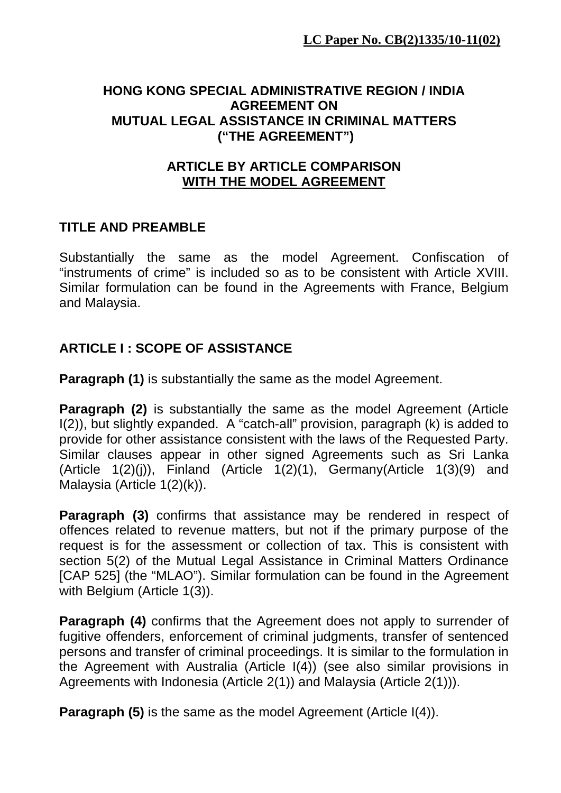#### **HONG KONG SPECIAL ADMINISTRATIVE REGION / INDIA AGREEMENT ON MUTUAL LEGAL ASSISTANCE IN CRIMINAL MATTERS ("THE AGREEMENT")**

#### **ARTICLE BY ARTICLE COMPARISON WITH THE MODEL AGREEMENT**

# **TITLE AND PREAMBLE**

Substantially the same as the model Agreement. Confiscation of "instruments of crime" is included so as to be consistent with Article XVIII. Similar formulation can be found in the Agreements with France, Belgium and Malaysia.

# **ARTICLE I : SCOPE OF ASSISTANCE**

**Paragraph (1)** is substantially the same as the model Agreement.

**Paragraph (2)** is substantially the same as the model Agreement (Article I(2)), but slightly expanded. A "catch-all" provision, paragraph (k) is added to provide for other assistance consistent with the laws of the Requested Party. Similar clauses appear in other signed Agreements such as Sri Lanka (Article  $1(2)(i)$ ), Finland (Article  $1(2)(1)$ , Germany(Article  $1(3)(9)$  and Malaysia (Article 1(2)(k)).

**Paragraph (3)** confirms that assistance may be rendered in respect of offences related to revenue matters, but not if the primary purpose of the request is for the assessment or collection of tax. This is consistent with section 5(2) of the Mutual Legal Assistance in Criminal Matters Ordinance [CAP 525] (the "MLAO"). Similar formulation can be found in the Agreement with Belgium (Article 1(3)).

**Paragraph (4)** confirms that the Agreement does not apply to surrender of fugitive offenders, enforcement of criminal judgments, transfer of sentenced persons and transfer of criminal proceedings. It is similar to the formulation in the Agreement with Australia (Article I(4)) (see also similar provisions in Agreements with Indonesia (Article 2(1)) and Malaysia (Article 2(1))).

**Paragraph (5)** is the same as the model Agreement (Article I(4)).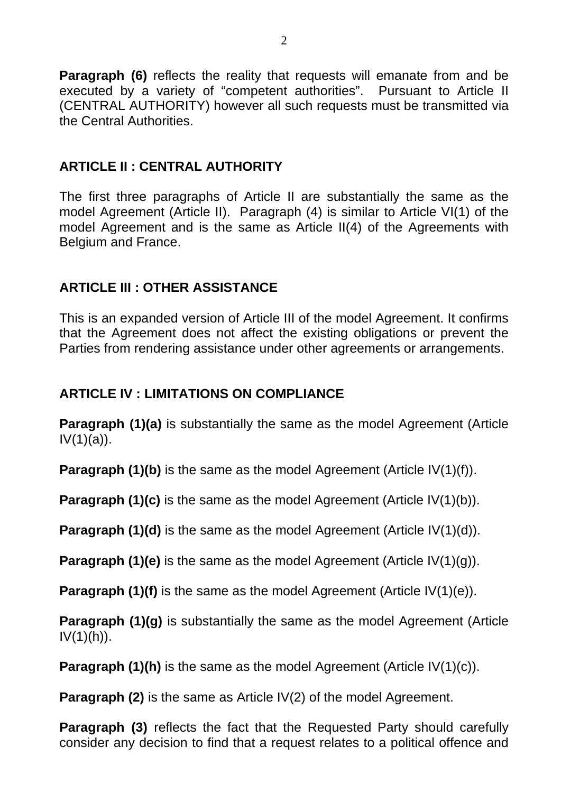**Paragraph (6)** reflects the reality that requests will emanate from and be executed by a variety of "competent authorities". Pursuant to Article II (CENTRAL AUTHORITY) however all such requests must be transmitted via the Central Authorities.

# **ARTICLE II : CENTRAL AUTHORITY**

The first three paragraphs of Article II are substantially the same as the model Agreement (Article II). Paragraph (4) is similar to Article VI(1) of the model Agreement and is the same as Article II(4) of the Agreements with Belgium and France.

# **ARTICLE III : OTHER ASSISTANCE**

This is an expanded version of Article III of the model Agreement. It confirms that the Agreement does not affect the existing obligations or prevent the Parties from rendering assistance under other agreements or arrangements.

## **ARTICLE IV : LIMITATIONS ON COMPLIANCE**

**Paragraph (1)(a)** is substantially the same as the model Agreement (Article  $IV(1)(a)$ ).

**Paragraph (1)(b)** is the same as the model Agreement (Article IV(1)(f)).

**Paragraph (1)(c)** is the same as the model Agreement (Article IV(1)(b)).

**Paragraph (1)(d)** is the same as the model Agreement (Article IV(1)(d)).

**Paragraph (1)(e)** is the same as the model Agreement (Article IV(1)(g)).

**Paragraph (1)(f)** is the same as the model Agreement (Article IV(1)(e)).

**Paragraph (1)(g)** is substantially the same as the model Agreement (Article  $IV(1)(h)$ .

**Paragraph (1)(h)** is the same as the model Agreement (Article IV(1)(c)).

**Paragraph (2)** is the same as Article IV(2) of the model Agreement.

**Paragraph (3)** reflects the fact that the Requested Party should carefully consider any decision to find that a request relates to a political offence and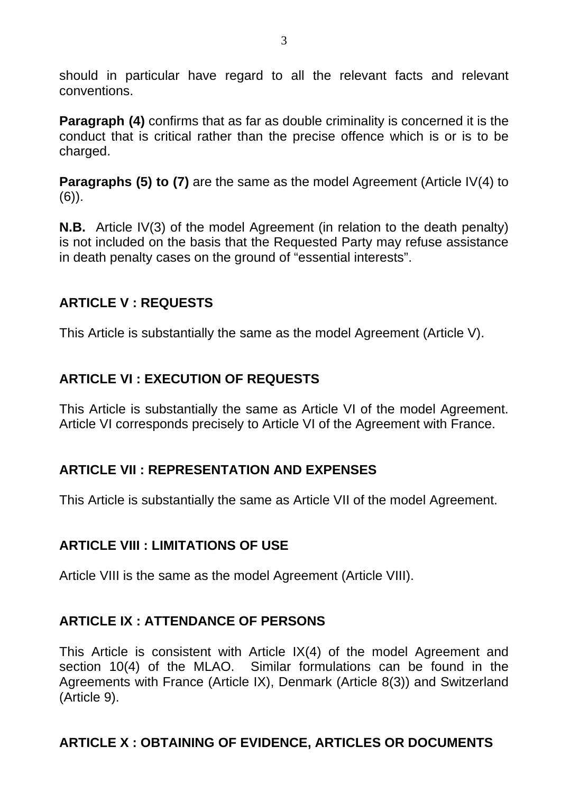should in particular have regard to all the relevant facts and relevant conventions.

**Paragraph (4)** confirms that as far as double criminality is concerned it is the conduct that is critical rather than the precise offence which is or is to be charged.

**Paragraphs (5) to (7)** are the same as the model Agreement (Article IV(4) to (6)).

**N.B.** Article IV(3) of the model Agreement (in relation to the death penalty) is not included on the basis that the Requested Party may refuse assistance in death penalty cases on the ground of "essential interests".

# **ARTICLE V : REQUESTS**

This Article is substantially the same as the model Agreement (Article V).

# **ARTICLE VI : EXECUTION OF REQUESTS**

This Article is substantially the same as Article VI of the model Agreement. Article VI corresponds precisely to Article VI of the Agreement with France.

## **ARTICLE VII : REPRESENTATION AND EXPENSES**

This Article is substantially the same as Article VII of the model Agreement.

## **ARTICLE VIII : LIMITATIONS OF USE**

Article VIII is the same as the model Agreement (Article VIII).

# **ARTICLE IX : ATTENDANCE OF PERSONS**

This Article is consistent with Article IX(4) of the model Agreement and section 10(4) of the MLAO. Similar formulations can be found in the Agreements with France (Article IX), Denmark (Article 8(3)) and Switzerland (Article 9).

## **ARTICLE X : OBTAINING OF EVIDENCE, ARTICLES OR DOCUMENTS**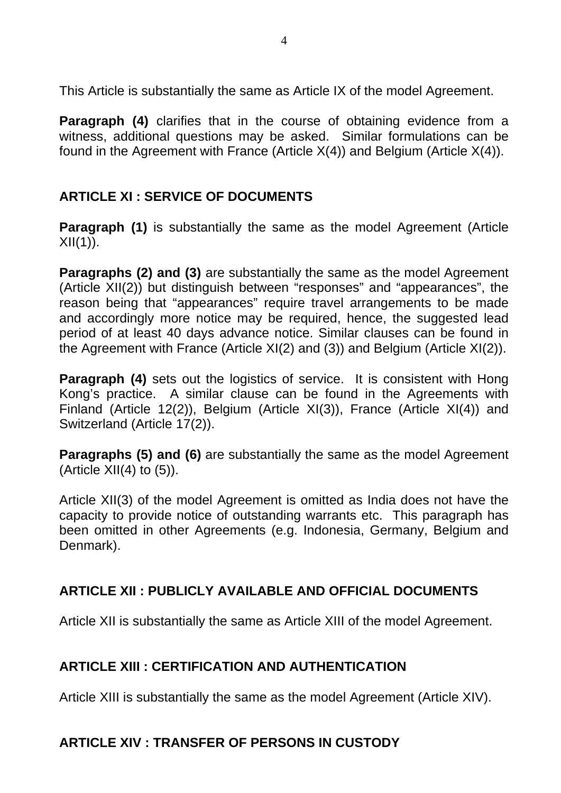This Article is substantially the same as Article IX of the model Agreement.

**Paragraph (4)** clarifies that in the course of obtaining evidence from a witness, additional questions may be asked. Similar formulations can be found in the Agreement with France (Article  $X(4)$ ) and Belgium (Article  $X(4)$ ).

# **ARTICLE XI : SERVICE OF DOCUMENTS**

**Paragraph (1)** is substantially the same as the model Agreement (Article  $XII(1)$ ).

**Paragraphs (2) and (3)** are substantially the same as the model Agreement (Article XII(2)) but distinguish between "responses" and "appearances", the reason being that "appearances" require travel arrangements to be made and accordingly more notice may be required, hence, the suggested lead period of at least 40 days advance notice. Similar clauses can be found in the Agreement with France (Article XI(2) and (3)) and Belgium (Article XI(2)).

**Paragraph (4)** sets out the logistics of service. It is consistent with Hong Kong's practice. A similar clause can be found in the Agreements with Finland (Article 12(2)), Belgium (Article XI(3)), France (Article XI(4)) and Switzerland (Article 17(2)).

**Paragraphs (5) and (6)** are substantially the same as the model Agreement (Article  $XII(4)$  to  $(5)$ ).

Article XII(3) of the model Agreement is omitted as India does not have the capacity to provide notice of outstanding warrants etc. This paragraph has been omitted in other Agreements (e.g. Indonesia, Germany, Belgium and Denmark).

## **ARTICLE XII : PUBLICLY AVAILABLE AND OFFICIAL DOCUMENTS**

Article XII is substantially the same as Article XIII of the model Agreement.

## **ARTICLE XIII : CERTIFICATION AND AUTHENTICATION**

Article XIII is substantially the same as the model Agreement (Article XIV).

## **ARTICLE XIV : TRANSFER OF PERSONS IN CUSTODY**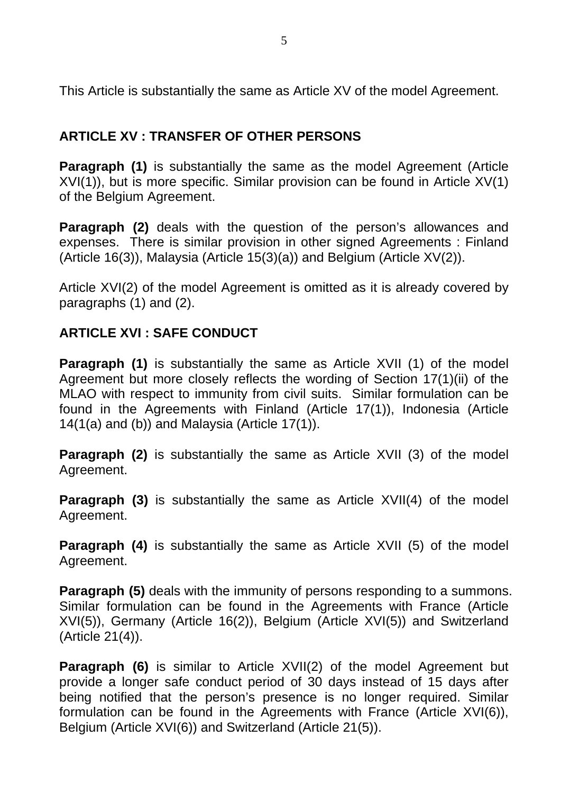This Article is substantially the same as Article XV of the model Agreement.

# **ARTICLE XV : TRANSFER OF OTHER PERSONS**

**Paragraph (1)** is substantially the same as the model Agreement (Article XVI(1)), but is more specific. Similar provision can be found in Article XV(1) of the Belgium Agreement.

**Paragraph (2)** deals with the question of the person's allowances and expenses. There is similar provision in other signed Agreements : Finland (Article 16(3)), Malaysia (Article 15(3)(a)) and Belgium (Article XV(2)).

Article XVI(2) of the model Agreement is omitted as it is already covered by paragraphs (1) and (2).

#### **ARTICLE XVI : SAFE CONDUCT**

**Paragraph (1)** is substantially the same as Article XVII (1) of the model Agreement but more closely reflects the wording of Section 17(1)(ii) of the MLAO with respect to immunity from civil suits. Similar formulation can be found in the Agreements with Finland (Article 17(1)), Indonesia (Article 14(1(a) and (b)) and Malaysia (Article 17(1)).

**Paragraph (2)** is substantially the same as Article XVII (3) of the model Agreement.

**Paragraph (3)** is substantially the same as Article XVII(4) of the model Agreement.

**Paragraph (4)** is substantially the same as Article XVII (5) of the model Agreement.

**Paragraph (5)** deals with the immunity of persons responding to a summons. Similar formulation can be found in the Agreements with France (Article XVI(5)), Germany (Article 16(2)), Belgium (Article XVI(5)) and Switzerland (Article 21(4)).

**Paragraph (6)** is similar to Article XVII(2) of the model Agreement but provide a longer safe conduct period of 30 days instead of 15 days after being notified that the person's presence is no longer required. Similar formulation can be found in the Agreements with France (Article XVI(6)), Belgium (Article XVI(6)) and Switzerland (Article 21(5)).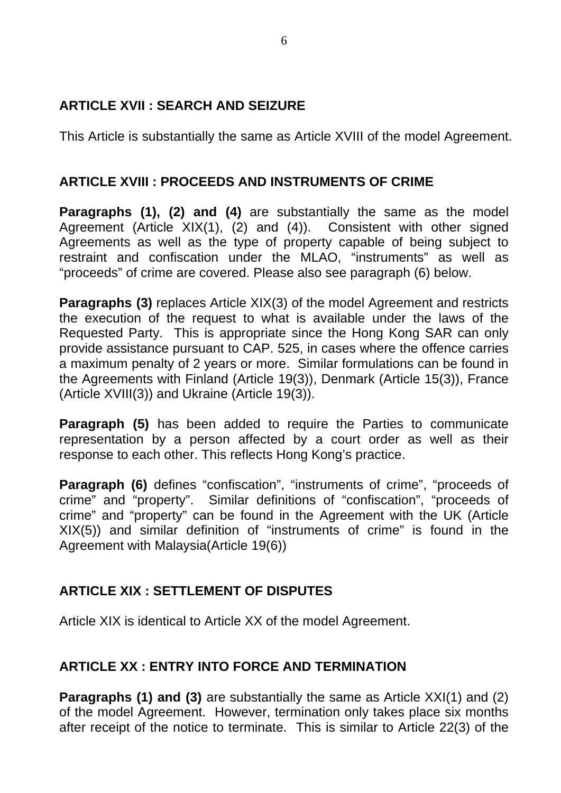## **ARTICLE XVII : SEARCH AND SEIZURE**

This Article is substantially the same as Article XVIII of the model Agreement.

# **ARTICLE XVIII : PROCEEDS AND INSTRUMENTS OF CRIME**

**Paragraphs (1), (2) and (4)** are substantially the same as the model Agreement (Article XIX(1), (2) and (4)). Consistent with other signed Agreements as well as the type of property capable of being subject to restraint and confiscation under the MLAO, "instruments" as well as "proceeds" of crime are covered. Please also see paragraph (6) below.

**Paragraphs (3)** replaces Article XIX(3) of the model Agreement and restricts the execution of the request to what is available under the laws of the Requested Party. This is appropriate since the Hong Kong SAR can only provide assistance pursuant to CAP. 525, in cases where the offence carries a maximum penalty of 2 years or more. Similar formulations can be found in the Agreements with Finland (Article 19(3)), Denmark (Article 15(3)), France (Article XVIII(3)) and Ukraine (Article 19(3)).

**Paragraph (5)** has been added to require the Parties to communicate representation by a person affected by a court order as well as their response to each other. This reflects Hong Kong's practice.

**Paragraph (6)** defines "confiscation", "instruments of crime", "proceeds of crime" and "property". Similar definitions of "confiscation", "proceeds of crime" and "property" can be found in the Agreement with the UK (Article XIX(5)) and similar definition of "instruments of crime" is found in the Agreement with Malaysia(Article 19(6))

# **ARTICLE XIX : SETTLEMENT OF DISPUTES**

Article XIX is identical to Article XX of the model Agreement.

## **ARTICLE XX : ENTRY INTO FORCE AND TERMINATION**

**Paragraphs (1) and (3)** are substantially the same as Article XXI(1) and (2) of the model Agreement. However, termination only takes place six months after receipt of the notice to terminate. This is similar to Article 22(3) of the